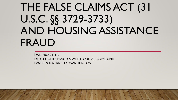# THE FALSE CLAIMS ACT (31 U.S.C. §§ 3729-3733) AND HOUSING ASSISTANCE FRAUD

DAN FRUCHTER DEPUTY CHIEF, FRAUD & WHITE-COLLAR CRIME UNIT EASTERN DISTRICT OF WASHINGTON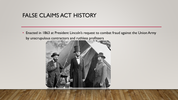• Enacted in 1863 at President Lincoln's request to combat fraud against the Union Army by unscrupulous contractors and ruthless profiteers

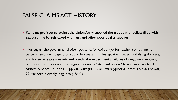- Rampant profiteering against the Union Army supplied the troops with bullets filled with sawdust, rifle barrels caked with rust and other poor quality supplies.
- "For sugar [the government] often got sand; for coffee, rye; for leather, something no better than brown paper; for sound horses and mules, spavined beasts and dying donkeys; and for serviceable muskets and pistols, the experimental failures of sanguine inventors, or the refuse of shops and foreign armories." *United States ex rel. Newsham v. Lockheed Missiles & Space Co.*, 722 F. Supp. 607, 609 (N.D. Cal. 1989) (quoting Tomes, *Fortunes of War*, 29 Harper's Monthly Mag. 228 (1864)).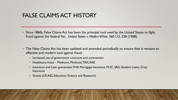- Since 1860s, False Claims Act has been the principal tool used by the United States to fight fraud against the federal fisc. *United States v. Niefert-White*, 360 U.S. 228 (1968).
- The False Claims Act has been updated and amended periodically to ensure that it remains an effective and modern tool against fraud.
	- Increased use of government contracts and contractors
	- Healthcare fraud Medicare, Medicaid, TRICARE
	- Insurance and Loan guarantees: FHA Mortgage Insurance, FCIC, SBA, Student Loans, Crop Insurance
	- Grants (US AID, Education, Science and Research)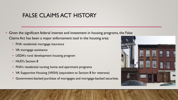- Given the significant federal interest and investment in housing programs, the False Claims Act has been a major enforcement tool in the housing area:
	- FHA residential mortgage insurance
	- VA mortgage assistance
	- USDA's rural development housing program
	- **HUD's Section 8**
	- FHA's residential nursing home and apartment programs
	- VA Supportive Housing (VASH) (equivalent to Section 8 for veterans)
	- Government-backed purchase of mortgages and mortgage-backed securities

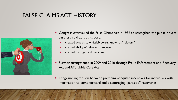![](_page_5_Picture_1.jpeg)

- Congress overhauled the False Claims Act in 1986 to strengthen the public-private partnership that is at its core.
	- Increased awards to whistleblowers, known as "relators"
	- **•** Increased ability of relators to recover
	- Increased damages and penalties
- Further strengthened in 2009 and 2010 through Fraud Enforcement and Recovery Act and Affordable Care Act
- Long-running tension between providing adequate incentives for individuals with information to come forward and discouraging "parasitic" recoveries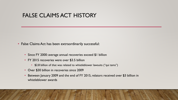- False Claims Act has been extraordinarily successful:
	- Since FY 2000: average annual recoveries exceed \$1 billion
	- FY 2015 recoveries were over \$3.5 billion
		- \$2.8 billion of that was related to whistleblower lawsuits ("qui tams")
	- Over \$30 billion in recoveries since 2009
	- Between January 2009 and the end of FY 2015, relators received over \$3 billion in whistleblower awards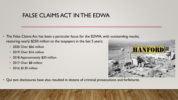### FALSE CLAIMS ACT IN THE EDWA

- The False Claims Act has been a particular focus for the EDWA, with outstanding results, restoring nearly \$250 million to the taxpayers in the last 5 years:
	- 2020: Over \$66 million
	- 2019: Over \$16 million
	- 2018: Approximately \$20 million
	- 2017: Over \$8 million
	- 2016: \$130 million

![](_page_7_Picture_7.jpeg)

• Qui tam disclosures have also resulted in dozens of criminal prosecutions and forfeitures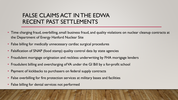# FALSE CLAIMS ACT IN THE EDWA RECENT PAST SETTLEMENTS

- Time charging fraud, overbilling, small business fraud, and quality violations on nuclear cleanup contracts at the Department of Energy Hanford Nuclear Site
- False billing for medically unnecessary cardiac surgical procedures
- Falsification of SNAP (food stamp) quality control data by state agencies
- Fraudulent mortgage origination and reckless underwriting by FHA mortgage lenders
- Fraudulent billing and overcharging of VA under the GI Bill by a for-profit school
- Payment of kickbacks to purchasers on federal supply contracts
- False overbilling for fire protection services at military bases and facilities
- False billing for dental services not performed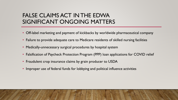# FALSE CLAIMS ACT IN THE EDWA SIGNIFICANT ONGOING MATTERS

- Off-label marketing and payment of kickbacks by worldwide pharmaceutical company
- Failure to provide adequate care to Medicare residents of skilled nursing facilities
- Medically-unnecessary surgical procedures by hospital system
- Falsification of Paycheck Protection Program (PPP) loan applications for COVID relief
- Fraudulent crop insurance claims by grain producer to USDA
- Improper use of federal funds for lobbying and political influence activities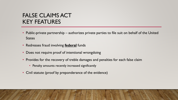# FALSE CLAIMS ACT KEY FEATURES

- Public-private partnership authorizes private parties to file suit on behalf of the United **States**
- Redresses fraud involving **federal** funds
- Does not require proof of intentional wrongdoing
- Provides for the recovery of treble damages and penalties for each false claim
	- Penalty amounts recently increased significantly
- Civil statute (proof by preponderance of the evidence)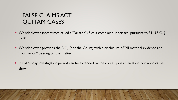# FALSE CLAIMS ACT QUI TAM CASES

- Whistleblower (sometimes called a "Relator") files a complaint under seal pursuant to 31 U.S.C. § 3730
- Whistleblower provides the DOJ (not the Court) with a disclosure of "all material evidence and information" bearing on the matter
- Initial 60-day investigation period can be extended by the court upon application "for good cause shown"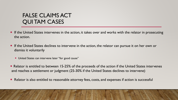# FALSE CLAIMS ACT QUI TAM CASES

- If the United States intervenes in the action, it takes over and works with the relator in prosecuting the action.
- If the United States declines to intervene in the action, the relator can pursue it on her own or dismiss it voluntarily
	- United States can intervene later "for good cause"
- Relator is entitled to between 15-25% of the proceeds of the action if the United States intervenes and reaches a settlement or judgment (25-30% if the United States declines to intervene)
- Relator is also entitled to reasonable attorney fees, costs, and expenses if action is successful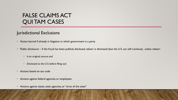# FALSE CLAIMS ACT QUI TAM CASES

#### Jurisdictional Exclusions

- Action barred if already in litigation in which government is a party
- Public disclosure if the fraud has been publicly disclosed, relator is dismissed (but the U.S. can still continue), unless relator:
	- Is an original source; and
	- Disclosed to the U.S. before filing suit
- Actions based on tax code
- Actions against federal agencies or employees
- Actions against states, state agencies, or "arms of the state"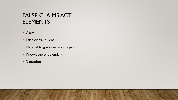# FALSE CLAIMS ACT **ELEMENTS**

- Claim
- False or fraudulent
- Material to gov't decision to pay
- Knowledge of defendant
- Causation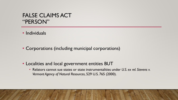#### FALSE CLAIMS ACT "PERSON"

• Individuals

• Corporations (including municipal corporations)

- Localities and local government entities BUT
	- Relators cannot sue states or state instrumentalities under *U.S. ex rel. Stevens v. Vermont Agency of Natural Resources*, 529 U.S. 765 (2000).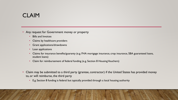# CLAIM

• Any request for Government money or property

- Bills and Invoices
- Claims by healthcare providers
- Grant applications/drawdowns
- Loan applications
- Claims for insurance benefits/guaranty (e.g. FHA mortgage insurance, crop insurance, SBA guaranteed loans, student loans)
- Claim for reimbursement of federal funding (e.g. Section 8 Housing Vouchers)
- Claim may be submitted to a third party (grantee, contractor) if the United States has provided money to, or will reimburse, the third party
	- E.g. Section 8 funding is federal but typically provided through a local housing authority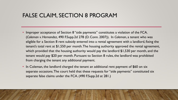#### FALSE CLAIM, SECTION 8 PROGRAM

- Improper acceptance of Section 8 "side payments" constitutes a violation of the FCA. (*Coleman v. Hernandez*, 490 F.Supp.2d 278 (D. Conn. 2007)). In *Coleman*, a tenant who was eligible for a Section 8 rent subsidy entered into a rental agreement with a landlord, fixing the tenant's total rent at \$1,550 per month. The housing authority approved the rental agreement, which provided that the housing authority would pay the landlord \$1,530 per month, and the tenant would pay \$20 per month. Pursuant to Section 8 rules, the landlord was prohibited from charging the tenant any additional payment.
- In Coleman, the landlord charged the tenant an additional rent payment of \$60 on six separate occasions. The court held that these requests for "side payments" constituted six separate false claims under the FCA. (490 F.Supp.2d at 281.)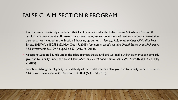#### FALSE CLAIM, SECTION 8 PROGRAM

- Courts have consistently concluded that liability arises under the False Claims Act when a Section 8 landlord charges a Section 8 tenant more than the agreed-upon amount of rent, or charges a tenant side payments not included in the Section 8 housing agreement. *See, e.g., U.S. ex rel. Holmes v. Win-Win Real Estate,* 2015 WL 6150594 (D. Nev. Oct. 19, 2015) (collecting cases); *see also United States ex rel. Richards v. R&T Investments LLC,* 29 F. Supp.3d 553 (W.D. Pa. 2014).
- Accepting Section 8 funds under the false premise that a landlord will make utility payments can similarly give rise to liability under the False Claims Act. *U.S. ex rel. Abea v. Odiye*, 2019 WL 2009287 (N.D. Cal. May 7, 2019).
- Falsely certifying the eligibility or suitability of the rental unit can also give rise to liability under the False Claims Act. *Kelly v. Denault*, 374 F. Supp. 3d 884 (N.D. Cal. 2018).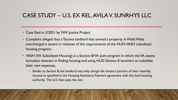- Case filed in 2/2021 by NW Justice Project
- Complaint alleged that a Tacoma landlord that owned a property in Walla Walla overcharged a tenant in violation of the requirements of the HUD-VASH subsidized housing program.
- VASH (VA Subsidized Housing) is a Section 8/VA joint program in which the VA assists homeless veterans in finding housing and using HUD Section 8 vouchers to subsidize their rent expenses.
	- Similar to Section 8, the landlord may only charge the tenant a portion of their monthly income as specified in the Housing Assistance Payment agreement with the local housing authority. The U.S. then pays the rest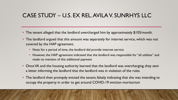- The tenant alleged that the landlord overcharged him by approximately \$105/month.
- The landlord argued that this amount was separately for internet service, which was not covered by the HAP agreement.
	- Note: for a period of time, the landlord did provide internet service
	- However, the HAP agreement indicated that the landlord was responsible for "all utilities" and made no mention of this additional payment
- Once VA and the housing authority learned that the landlord was overcharging, they sent a letter informing the landlord that the landlord was in violation of the rules
- The landlord then promptly evicted the tenant, falsely indicating that she was intending to occupy the property in order to get around COVID-19 eviction moritorium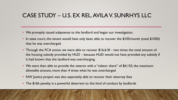- We promptly issued subpoenas to the landlord and began our investigation.
- In state court, the tenant would have only been able to recover the \$105/month (total \$1050) that he was overcharged.
- Through the FCA action, we were able to recover \$16,618 two times the total amount of the housing subsidy provided by HUD – because HUD would not have provided any subsidy if it had known that the landlord was overcharging.
- We were then able to provide the veteran with a "relator share" of \$4,155, the maximum allowable amount, more than 4 times what he was overcharged
- NW Justice project was also separately able to recover their attorney fees
- The \$16k penalty is a powerful deterrent to this kind of conduct by landlords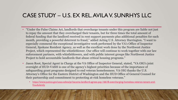- "Under the False Claims Act, landlords that overcharge tenants under this program are liable not just to repay the amount that they overcharged their tenants, but for three times the total amount of federal funding that the landlord received in rent support payments plus additional penalties for each month, providing a powerful deterrent to fraud," added Acting U.S. Attorney Harrington. "I want to especially commend the exceptional investigative work performed by the VA's Office of Inspector General, Spokane Resident Agency, as well as the excellent work done by the Northwest Justice Project, which represented the whistleblower. Our office will continue to work together with our law enforcement partners, with whistleblowers, and with public interest groups like Northwest Justice Project to hold accountable landlords that abuse critical housing programs."
- Jason Root, Special Agent in Charge at the VA Office of Inspector General, stated, "VA OIG's joint oversight of HUD-VASH is one of the agency's highest priorities because of the importance of safeguarding grant programs designed to end veteran homelessness. VA OIG thanks the U.S. Attorney's Office for the Eastern District of Washington and the HUD Office of General Counsel for their partnership and commitment to protecting at-risk homeless veterans."
	- [https://www.justice.gov/usao-edwa/pr/tacoma-landlord-agrees-pay-16618-overcharging-homeless-veteran-tenant-and](https://www.justice.gov/usao-edwa/pr/tacoma-landlord-agrees-pay-16618-overcharging-homeless-veteran-tenant-and-fraudulently)fraudulently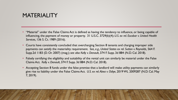### MATERIALITY

- "Material" under the False Claims Act is defined as having the tendency to influence, or being capable of influencing, the payment of money or property. 31 U.S.C. 3729(b)(4); *U.S. ex rel. Escobar v. United Health Services,* 136 S. Ct. 1989 (2016).
- Courts have consistently concluded that overcharging Section 8 tenants and charging improper side payments can satisfy the materiality requirement. *See, e.g., United States ex rel. Sutton v. Reynolds,* 564 F. Supp.2d 1183 (D. Or. 2007) (mag.); *see also Kelly v. Denault*, 374 F. Supp. 3d 884 (N.D. Cal. 2018).
- Falsely certifying the eligibility and suitability of the rental unit can similarly be material under the False Claims Act. *Kelly v. Denault*, 374 F. Supp. 3d 884 (N.D. Cal. 2018).
- Accepting Section 8 funds under the false premise that a landlord will make utility payments can similarly give rise to liability under the False Claims Act. *U.S. ex rel. Abea v. Odiye*, 2019 WL 2009287 (N.D. Cal. May 7, 2019).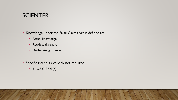#### **SCIENTER**

• Knowledge under the False Claims Act is defined as:

- Actual knowledge
- Reckless disregard
- Deliberate ignorance
- Specific intent is explicitly not required.
	- 31 U.S.C. 3729(b)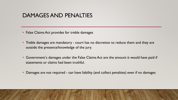- False Claims Act provides for treble damages
- Treble damages are mandatory court has no discretion to reduce them and they are outside the presence/knowledge of the jury.
- Government's damages under the False Claims Act are the amount it would have paid if statements or claims had been truthful.
- Damages are not required can have liability (and collect penalties) even if no damages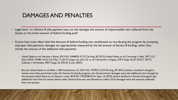- Legal issue: in a Section 8 side payment case, are the damages the amount of impermissible rent collected from the tenant, or the entire amount of federal funding paid?
- Courts have most often held that because all federal funding was conditioned on not abusing the program by accepting improper side payments, damages are appropriately measured by the full amount of Section 8 funding, rather than merely the amount of the additional side payments.
	- *United States ex rel. Harrison v. Baran*, 2015 WL 5446833 (C.D. Cal. Aug. 28, 2015); *United States ex rel. Cummings v. Hale,* 2017 U.S. Dist. LEXIS 142481 (N.D. Cal. May 17, 2017) (mag.); *see also U.S. ex rel. Carmichael v. Gregory*, 270 F. Supp. 3d 67 (D.D.C. 2017); *Coleman v. Hernandez*, 490 F. Supp. 2d 278 (D. Conn. 2007);
	- But *see United States ex rel. Wade v. DBS Investments, LLC,* 2012 WL 3759015 (S.D. Fla. Aug. 29, 2012) (where a landlord charged a tenant more than permitted under the Section 8 subsidy program, the Government's damages were the additional rent charged to the tenant); *United States ex rel. Stearns v. Lane*, 2010 WL 3702538 (D. Vt. Sept. 15, 2010) (where landlord in Section 8 program got additional rent from his tenant which under Section 8 he was not allowed to collect, FCA damages were the amount collected from the tenant).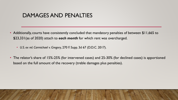- Additionally, courts have consistently concluded that mandatory penalties of between \$11,665 to \$23,331(as of 2020) attach to *each month* for which rent was overcharged.
	- *U.S. ex rel. Carmichael v. Gregory*, 270 F. Supp. 3d 67 (D.D.C. 2017).
- The relator's share of 15%-25% (for intervened cases) and 25-30% (for declined cases) is apportioned based on the full amount of the recovery (treble damages plus penalties).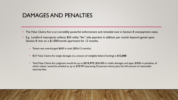- The False Claims Act is an incredibly powerful enforcement and remedial tool in Section 8 overpayment cases.
- E.g. Landlord improperly collects \$50 utility "fee" side payment in addition per month beyond agreed upon Section 8 rent on a \$1,000/month apartment for 12 months.
	- Tenant was overcharged \$600 in total (\$50x12 months)
	- BUT False Claims Act single damages (i.e. amount of ineligible federal funding) is **\$12,000**
	- Total False Claims Act judgment would be up to **\$315,972** (\$36,000 in treble damages and appx. \$300k in penalties, of which relator would be entitled to up to \$78,993 (assuming 25 percent share), plus the full amount of reasonable attorney fees.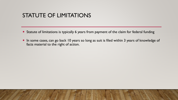#### STATUTE OF LIMITATIONS

- Statute of limitations is typically 6 years from payment of the claim for federal funding
- In some cases, can go back 10 years so long as suit is filed within 3 years of knowledge of facts material to the right of action.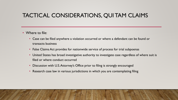# TACTICAL CONSIDERATIONS, QUI TAM CLAIMS

- Where to file:
	- Case can be filed anywhere a violation occurred or where a defendant can be found or transacts business
	- False Claims Act provides for nationwide service of process for trial subpoenas
	- United States has broad investigative authority to investigate case regardless of where suit is filed or where conduct occurred
	- Discussion with U.S. Attorney's Office prior to filing is strongly encouraged
	- Research case law in various jurisdictions in which you are contemplating filing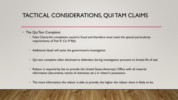# TACTICAL CONSIDERATIONS, QUI TAM CLAIMS

- The Qui Tam Complaint:
	- False Claims Act complaints sound in fraud and therefore must meet the special particularity requirements of Fed. R. Civ. P. 9(b)
	- Additional detail will assist the government's investigation
	- Qui tam complaint often disclosed to defendant during investigation pursuant to limited lift of seal
	- Relator is required by law to provide the United States Attorney's Office with all material information (documents, names of witnesses, etc.) in relator's possession.
	- The more information the relator is able to provide, the higher the relator share is likely to be.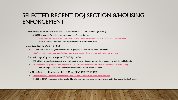## SELECTED RECENT DOJ SECTION 8/HOUSING ENFORCEMENT

- United States ex rel. Willis v. Mae Ava Carse Properties, LLC (E.D. Mich.) (12/4/20)
	- \$150,000 settlement for collecting excess rent from Section 8 tenants
		- <https://www.justice.gov/usao-edmi/pr/us-attorneys-office-reaches-settlement-under-false-claims-act-over-allegations>
		- Univ. of Michigan Law School Clinic represented relator, the section 8 tenant
- U.S. v. Goodfish (D. Del.) (12/18/20)
	- U.S. files suit under FCA against landlord for charging higher rents for Section 8 rental units
	- <https://www.justice.gov/usao-de/pr/united-states-brings-federal-false-claims-act-suit-against-newark-landlord>
- U.S. ex rel. Ling v. City of Los Angeles (C.D. Cal.) (2/6/20)
	- \$3.1 million FCA settlement against City housing authority for violating accessibility in development of affordable housing
	- <https://www.justice.gov/opa/pr/crala-agrees-pay-31-million-resolve-alleged-misuse-federal-funds-inaccessible-housing>
		- Fair Housing Council of San Fernando Valley represented relator, a disabled tenant
- U.S. v. Ortiz; U.S. v. 44 Hawthorne LLC (D. Mass.) (3/6/2020) (9/24/2020)
	- <https://www.justice.gov/usao-ma/pr/roxbury-landlord-agrees-settle-false-claims-act-allegations>
	- \$15,500 in 2 FCA settlements against landlord for charging improper water utility payments and other fees to Section 8 tenant